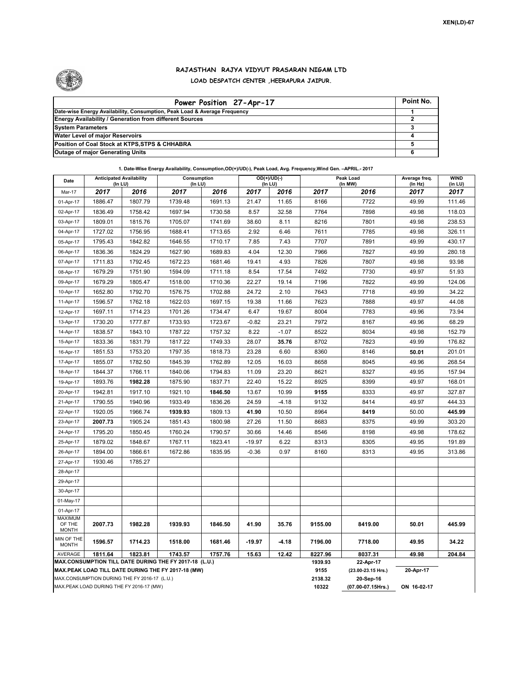

## **RAJASTHAN RAJYA VIDYUT PRASARAN NIGAM LTD LOAD DESPATCH CENTER ,HEERAPURA JAIPUR.**

| Power Position 27-Apr-17                                                  | Point No. |
|---------------------------------------------------------------------------|-----------|
| Date-wise Energy Availability, Consumption, Peak Load & Average Frequency |           |
| <b>Energy Availability / Generation from different Sources</b>            |           |
| <b>System Parameters</b>                                                  |           |
| <b>Water Level of major Reservoirs</b>                                    |           |
| Position of Coal Stock at KTPS, STPS & CHHABRA                            |           |
| <b>Outage of major Generating Units</b>                                   |           |

**1. Date-Wise Energy Availability, Consumption,OD(+)/UD(-), Peak Load, Avg. Frequency,Wind Gen. –APRIL.- 2017**

| Date                       | <b>Anticipated Availability</b><br>$($ In LU $)$ |         | Consumption<br>$($ In LU $)$                                                                                 |         |          | $OD(+)/UD(-)$<br>(In LU) |                 | Peak Load<br>(In MW)            | Average freq.<br>(In Hz) | <b>WIND</b><br>(in LU) |
|----------------------------|--------------------------------------------------|---------|--------------------------------------------------------------------------------------------------------------|---------|----------|--------------------------|-----------------|---------------------------------|--------------------------|------------------------|
| Mar-17                     | 2017                                             | 2016    | 2017                                                                                                         | 2016    | 2017     | 2016                     | 2017            | 2016                            | 2017                     | 2017                   |
| 01-Apr-17                  | 1886.47                                          | 1807.79 | 1739.48                                                                                                      | 1691.13 | 21.47    | 11.65                    | 8166            | 7722                            | 49.99                    | 111.46                 |
| 02-Apr-17                  | 1836.49                                          | 1758.42 | 1697.94                                                                                                      | 1730.58 | 8.57     | 32.58                    | 7764            | 7898                            | 49.98                    | 118.03                 |
| 03-Apr-17                  | 1809.01                                          | 1815.76 | 1705.07                                                                                                      | 1741.69 | 38.60    | 8.11                     | 8216            | 7801                            | 49.98                    | 238.53                 |
| 04-Apr-17                  | 1727.02                                          | 1756.95 | 1688.41                                                                                                      | 1713.65 | 2.92     | 6.46                     | 7611            | 7785                            | 49.98                    | 326.11                 |
| 05-Apr-17                  | 1795.43                                          | 1842.82 | 1646.55                                                                                                      | 1710.17 | 7.85     | 7.43                     | 7707            | 7891                            | 49.99                    | 430.17                 |
| 06-Apr-17                  | 1836.36                                          | 1824.29 | 1627.90                                                                                                      | 1689.83 | 4.04     | 12.30                    | 7966            | 7827                            | 49.99                    | 280.18                 |
| 07-Apr-17                  | 1711.83                                          | 1792.45 | 1672.23                                                                                                      | 1681.46 | 19.41    | 4.93                     | 7826            | 7807                            | 49.98                    | 93.98                  |
| 08-Apr-17                  | 1679.29                                          | 1751.90 | 1594.09                                                                                                      | 1711.18 | 8.54     | 17.54                    | 7492            | 7730                            | 49.97                    | 51.93                  |
| 09-Apr-17                  | 1679.29                                          | 1805.47 | 1518.00                                                                                                      | 1710.36 | 22.27    | 19.14                    | 7196            | 7822                            | 49.99                    | 124.06                 |
| 10-Apr-17                  | 1652.80                                          | 1792.70 | 1576.75                                                                                                      | 1702.88 | 24.72    | 2.10                     | 7643            | 7718                            | 49.99                    | 34.22                  |
| 11-Apr-17                  | 1596.57                                          | 1762.18 | 1622.03                                                                                                      | 1697.15 | 19.38    | 11.66                    | 7623            | 7888                            | 49.97                    | 44.08                  |
| 12-Apr-17                  | 1697.11                                          | 1714.23 | 1701.26                                                                                                      | 1734.47 | 6.47     | 19.67                    | 8004            | 7783                            | 49.96                    | 73.94                  |
| 13-Apr-17                  | 1730.20                                          | 1777.87 | 1733.93                                                                                                      | 1723.67 | $-0.82$  | 23.21                    | 7972            | 8167                            | 49.96                    | 68.29                  |
| 14-Apr-17                  | 1838.57                                          | 1843.10 | 1787.22                                                                                                      | 1757.32 | 8.22     | $-1.07$                  | 8522            | 8034                            | 49.98                    | 152.79                 |
| 15-Apr-17                  | 1833.36                                          | 1831.79 | 1817.22                                                                                                      | 1749.33 | 28.07    | 35.76                    | 8702            | 7823                            | 49.99                    | 176.82                 |
| 16-Apr-17                  | 1851.53                                          | 1753.20 | 1797.35                                                                                                      | 1818.73 | 23.28    | 6.60                     | 8360            | 8146                            | 50.01                    | 201.01                 |
| 17-Apr-17                  | 1855.07                                          | 1782.50 | 1845.39                                                                                                      | 1762.89 | 12.05    | 16.03                    | 8658            | 8045                            | 49.96                    | 268.54                 |
| 18-Apr-17                  | 1844.37                                          | 1766.11 | 1840.06                                                                                                      | 1794.83 | 11.09    | 23.20                    | 8621            | 8327                            | 49.95                    | 157.94                 |
| 19-Apr-17                  | 1893.76                                          | 1982.28 | 1875.90                                                                                                      | 1837.71 | 22.40    | 15.22                    | 8925            | 8399                            | 49.97                    | 168.01                 |
| 20-Apr-17                  | 1942.81                                          | 1917.10 | 1921.10                                                                                                      | 1846.50 | 13.67    | 10.99                    | 9155            | 8333                            | 49.97                    | 327.87                 |
| 21-Apr-17                  | 1790.55                                          | 1940.96 | 1933.49                                                                                                      | 1836.26 | 24.59    | $-4.18$                  | 9132            | 8414                            | 49.97                    | 444.33                 |
| 22-Apr-17                  | 1920.05                                          | 1966.74 | 1939.93                                                                                                      | 1809.13 | 41.90    | 10.50                    | 8964            | 8419                            | 50.00                    | 445.99                 |
| 23-Apr-17                  | 2007.73                                          | 1905.24 | 1851.43                                                                                                      | 1800.98 | 27.26    | 11.50                    | 8683            | 8375                            | 49.99                    | 303.20                 |
| 24-Apr-17                  | 1795.20                                          | 1850.45 | 1760.24                                                                                                      | 1790.57 | 30.66    | 14.46                    | 8546            | 8198                            | 49.98                    | 178.62                 |
| 25-Apr-17                  | 1879.02                                          | 1848.67 | 1767.11                                                                                                      | 1823.41 | $-19.97$ | 6.22                     | 8313            | 8305                            | 49.95                    | 191.89                 |
| 26-Apr-17                  | 1894.00                                          | 1866.61 | 1672.86                                                                                                      | 1835.95 | $-0.36$  | 0.97                     | 8160            | 8313                            | 49.95                    | 313.86                 |
| 27-Apr-17                  | 1930.46                                          | 1785.27 |                                                                                                              |         |          |                          |                 |                                 |                          |                        |
| 28-Apr-17                  |                                                  |         |                                                                                                              |         |          |                          |                 |                                 |                          |                        |
| 29-Apr-17                  |                                                  |         |                                                                                                              |         |          |                          |                 |                                 |                          |                        |
| 30-Apr-17                  |                                                  |         |                                                                                                              |         |          |                          |                 |                                 |                          |                        |
| 01-May-17                  |                                                  |         |                                                                                                              |         |          |                          |                 |                                 |                          |                        |
| 01-Apr-17                  |                                                  |         |                                                                                                              |         |          |                          |                 |                                 |                          |                        |
| <b>MAXIMUM</b><br>OF THE   | 2007.73                                          | 1982.28 | 1939.93                                                                                                      | 1846.50 | 41.90    | 35.76                    | 9155.00         | 8419.00                         | 50.01                    | 445.99                 |
| <b>MONTH</b>               |                                                  |         |                                                                                                              |         |          |                          |                 |                                 |                          |                        |
| MIN OF THE<br><b>MONTH</b> | 1596.57                                          | 1714.23 | 1518.00                                                                                                      | 1681.46 | $-19.97$ | -4.18                    | 7196.00         | 7718.00                         | 49.95                    | 34.22                  |
| <b>AVERAGE</b>             | 1811.64                                          | 1823.81 | 1743.57                                                                                                      | 1757.76 | 15.63    | 12.42                    | 8227.96         | 8037.31                         | 49.98                    | 204.84                 |
|                            |                                                  |         | MAX.CONSUMPTION TILL DATE DURING THE FY 2017-18 (L.U.)<br>MAX.PEAK LOAD TILL DATE DURING THE FY 2017-18 (MW) |         |          |                          | 1939.93<br>9155 | 22-Apr-17<br>(23.00-23.15 Hrs.) | 20-Apr-17                |                        |
|                            | MAX.CONSUMPTION DURING THE FY 2016-17 (L.U.)     |         |                                                                                                              |         |          |                          | 2138.32         | 20-Sep-16                       |                          |                        |
|                            | MAX.PEAK LOAD DURING THE FY 2016-17 (MW)         |         |                                                                                                              |         |          |                          | 10322           | (07.00-07.15Hrs.)               | ON 16-02-17              |                        |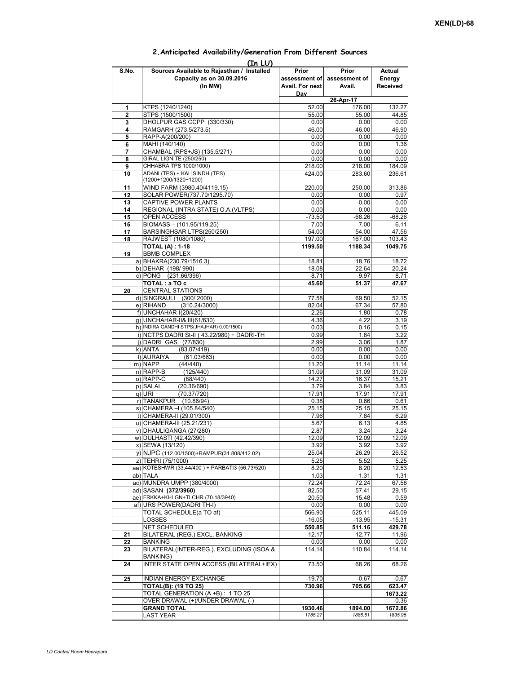|              | (In LU)                                         |                 |                   |          |
|--------------|-------------------------------------------------|-----------------|-------------------|----------|
| S.No.        | Sources Available to Rajasthan / Installed      | Prior           | Prior             | Actual   |
|              | Capacity as on 30.09.2016                       | assessment of   | assessment of     | Energy   |
|              | (In MW)                                         | Avail. For next | Avail.            | Received |
|              |                                                 | Dav             |                   |          |
|              |                                                 |                 | 26-Apr-17         |          |
| 1            | KTPS (1240/1240)                                | 52.00           | 176.00            | 132.27   |
| $\mathbf{2}$ | STPS (1500/1500)                                | 55.00           | 55.00             | 44.85    |
| 3            | DHOLPUR GAS CCPP (330/330)                      | 0.00            | 0.00              | 0.00     |
| 4            | RAMGARH (273.5/273.5)                           | 46.00           | 46.00             | 46.90    |
| 5            | RAPP-A(200/200)                                 | 0.00            | 0.00              | 0.00     |
| 6            | MAHI (140/140)                                  | 0.00            | 0.00              | 1.36     |
| 7            | CHAMBAL (RPS+JS) (135.5/271)                    | 0.00            | 0.00              | 0.00     |
| 8            | <b>GIRAL LIGNITE (250/250)</b>                  | 0.00            | 0.00              | 0.00     |
| 9            | CHHABRA TPS 1000/1000)                          | 218.00          | 218.00            | 184.09   |
| 10           | ADANI (TPS) + KALISINDH (TPS)                   | 424.00          | 283.60            | 236.61   |
|              | (1200+1200/1320+1200)                           |                 |                   |          |
| 11           | WIND FARM (3980.40/4119.15)                     | 220.00          | 250.00            | 313.86   |
| 12           | SOLAR POWER(737.70/1295.70)                     | 0.00            | 0.00              | 0.97     |
| 13           | CAPTIVE POWER PLANTS                            | 0.00            | 0.00              | 0.00     |
| 14           | REGIONAL (INTRA STATE) O.A. (VLTPS)             | 0.00            | 0.00              | 0.00     |
| 15           | <b>OPEN ACCESS</b>                              | $-73.50$        | $-68.26$          | $-68.26$ |
| 16           | BIOMASS - (101.95/119.25)                       | 7.00            | 7.00              | 6.11     |
| 17           | BARSINGHSAR LTPS(250/250)                       | 54.00           | 54.00             | 47.56    |
| 18           | RAJWEST (1080/1080)                             | 197.00          | 167.00            | 103.43   |
|              | <b>TOTAL (A): 1-18</b>                          | 1199.50         | 1188.34           | 1049.75  |
| 19           | <b>BBMB COMPLEX</b>                             |                 |                   |          |
|              | a) BHAKRA(230.79/1516.3)                        | 18.81           | 18.76             | 18.72    |
|              | b) DEHAR (198/990)                              | 18.08           | 22.64             | 20.24    |
|              | c) PONG (231.66/396)                            | 8.71            | 9.97              | 8.71     |
|              | TOTAL: a TO c                                   | 45.60           | 51.37             | 47.67    |
|              | <b>CENTRAL STATIONS</b>                         |                 |                   |          |
| 20           |                                                 |                 |                   |          |
|              | d) SINGRAULI (300/2000)                         | 77.58           | 69.50             | 52.15    |
|              | e) RIHAND<br>(310.24/3000)                      | 82.04           | 67.34             | 57.80    |
|              | f) UNCHAHAR-I(20/420)                           | 2.26            | 1.80              | 0.78     |
|              | q) UNCHAHAR-II& III(61/630)                     | 4.36            | 4.22              | 3.19     |
|              | h) INDIRA GANDHI STPS(JHAJHAR) 0.00/1500)       | 0.03            | 0.16              | 0.15     |
|              | i) NCTPS DADRI St-II (43.22/980) + DADRI-TH     | 0.99            | 1.84              | 3.22     |
|              | j) DADRI GAS (77/830)                           | 2.99            | 3.06              | 1.87     |
|              | k) ANTA<br>(83.07/419)                          | 0.00            | 0.00              | 0.00     |
|              | I) AURAIYA<br>(61.03/663)                       | 0.00            | 0.00              | 0.00     |
|              | m) NAPP<br>(44/440)                             | 11.20           | 11.14             | 11.14    |
|              | n) RAPP-B<br>(125/440)                          | 31.09           | 31.09             | 31.09    |
|              | o) RAPP-C<br>(88/440)                           | 14.27           | 16.37             | 15.21    |
|              | p) SALAL<br>(20.36/690)                         | 3.79            | 3.84              | 3.83     |
|              | (70.37/720)<br>q) URI                           | 17.91           | 17.91             | 17.91    |
|              | r) TANAKPUR (10.86/94)                          | 0.38            | 0.66              | 0.61     |
|              | s) CHAMERA - (105.84/540)                       | 25.15           | 25.15             | 25.15    |
|              | t) CHAMERA-II (29.01/300)                       | 7.96            | 7.84              | 6.29     |
|              | u) CHAMERA-III (25.21/231)                      | 5.67            | 6.13              | 4.85     |
|              | v) DHAULIGANGA (27/280)                         | 2.87            | 3.24              | 3.24     |
|              | w) DULHASTI (42.42/390)                         | 12.09           | 12.09             | 12.09    |
|              | x) SEWA (13/120)                                | 3.92            | 3.92              | 3.92     |
|              | y) NJPC (112.00/1500) + RAMPUR(31.808/412.02)   | 25.04           | 26.29             | 26.52    |
|              | z) TEHRI (75/1000)                              | 5.25            | 5.52              | 5.25     |
|              | aa) KOTESHWR (33.44/400) + PARBATI3 (56.73/520) | 8.20            | 8.20              | 12.53    |
|              | ab) TALA                                        | 1.03            | 1.31              | 1.31     |
|              | ac) MUNDRA UMPP (380/4000)                      | 72.24           | 72.24             | 67.58    |
|              | ad) SASAN (372/3960)                            | 82.50           | 57.41             | 29.15    |
|              | ae) FRKKA+KHLGN+TLCHR (70.18/3940)              | 20.50           | 15.48             | 0.59     |
|              | af) URS POWER(DADRI TH-I)                       | 0.00            | 0.00              | 0.00     |
|              | TOTAL SCHEDULE(a TO af)                         | 566.90          | 525.11            | 445.09   |
|              | LOSSES                                          | $-16.05$        | $-13.95$          | $-15.31$ |
|              | NET SCHEDULED                                   | 550.85          | 511.16            | 429.78   |
| 21           | BILATERAL (REG.) EXCL. BANKING                  | 12.17           | 12.77             | 11.96    |
| 22           | BANKING                                         | 0.00            | 0.00              | 0.00     |
| 23           | BILATERAL(INTER-REG.). EXCLUDING (ISOA &        | 114.14          | 110.84            | 114.14   |
|              | BANKING)                                        |                 |                   |          |
|              | INTER STATE OPEN ACCESS (BILATERAL+IEX)         | 73.50           | 68.26             | 68.26    |
| 24           |                                                 |                 |                   |          |
|              | <b>INDIAN ENERGY EXCHANGE</b>                   | $-19.70$        |                   |          |
| 25           | <b>TOTAL(B): (19 TO 25)</b>                     | 730.96          | $-0.67$<br>705.66 | $-0.67$  |
|              |                                                 |                 |                   | 623.47   |
|              | TOTAL GENERATION (A +B) : 1 TO 25               |                 |                   | 1673.22  |
|              | OVER DRAWAL (+)/UNDER DRAWAL (-)                |                 |                   | $-0.36$  |
|              | GRAND TOTAL                                     | 1930.46         | 1894.00           | 1672.86  |
|              | LAST YEAR                                       | 1785.27         | 1886.61           | 1835.95  |

## **2.Anticipated Availability/Generation From Different Sources**